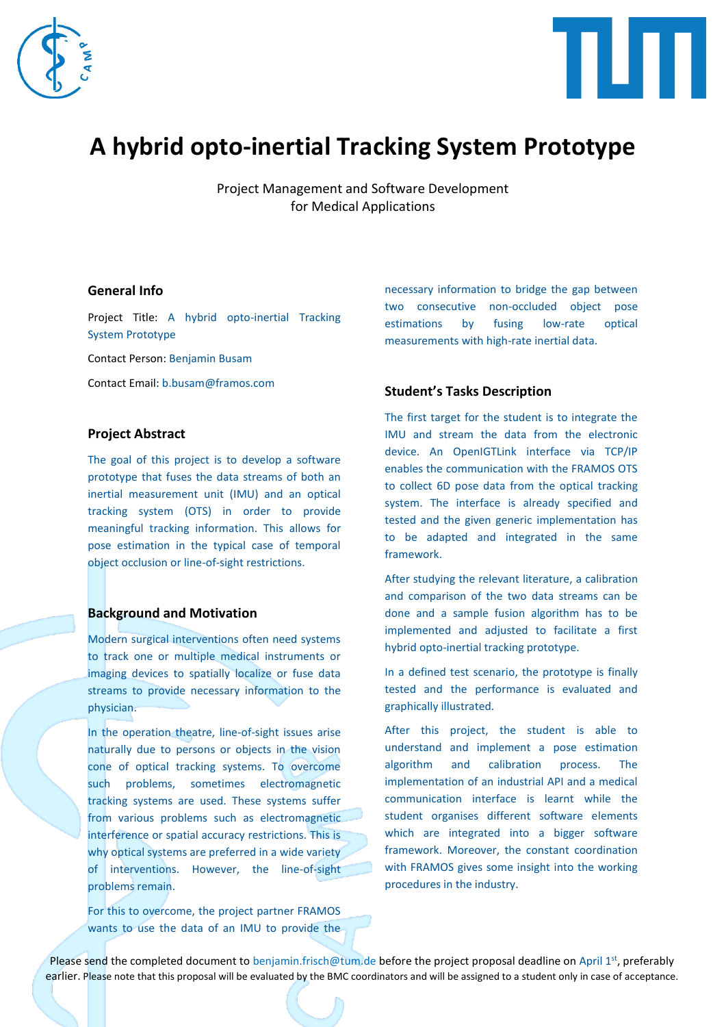



# **A hybrid opto-inertial Tracking System Prototype**

Project Management and Software Development for Medical Applications

## **General Info**

Project Title: A hybrid opto-inertial Tracking System Prototype

Contact Person: Benjamin Busam

Contact Email: b.busam@framos.com

## **Project Abstract**

The goal of this project is to develop a software prototype that fuses the data streams of both an inertial measurement unit (IMU) and an optical tracking system (OTS) in order to provide meaningful tracking information. This allows for pose estimation in the typical case of temporal object occlusion or line-of-sight restrictions.

#### **Background and Motivation**

Modern surgical interventions often need systems to track one or multiple medical instruments or imaging devices to spatially localize or fuse data streams to provide necessary information to the physician.

In the operation theatre, line-of-sight issues arise naturally due to persons or objects in the vision cone of optical tracking systems. To overcome such problems, sometimes electromagnetic tracking systems are used. These systems suffer from various problems such as electromagnetic interference or spatial accuracy restrictions. This is why optical systems are preferred in a wide variety of interventions. However, the line-of-sight problems remain.

For this to overcome, the project partner FRAMOS wants to use the data of an IMU to provide the necessary information to bridge the gap between two consecutive non-occluded object pose estimations by fusing low-rate optical measurements with high-rate inertial data.

#### **Student's Tasks Description**

The first target for the student is to integrate the IMU and stream the data from the electronic device. An OpenIGTLink interface via TCP/IP enables the communication with the FRAMOS OTS to collect 6D pose data from the optical tracking system. The interface is already specified and tested and the given generic implementation has to be adapted and integrated in the same framework.

After studying the relevant literature, a calibration and comparison of the two data streams can be done and a sample fusion algorithm has to be implemented and adjusted to facilitate a first hybrid opto-inertial tracking prototype.

In a defined test scenario, the prototype is finally tested and the performance is evaluated and graphically illustrated.

After this project, the student is able to understand and implement a pose estimation algorithm and calibration process. The implementation of an industrial API and a medical communication interface is learnt while the student organises different software elements which are integrated into a bigger software framework. Moreover, the constant coordination with FRAMOS gives some insight into the working procedures in the industry.

Please send the completed document to benjamin.frisch@tum.de before the project proposal deadline on April 1<sup>st</sup>, preferably earlier. Please note that this proposal will be evaluated by the BMC coordinators and will be assigned to a student only in case of acceptance.